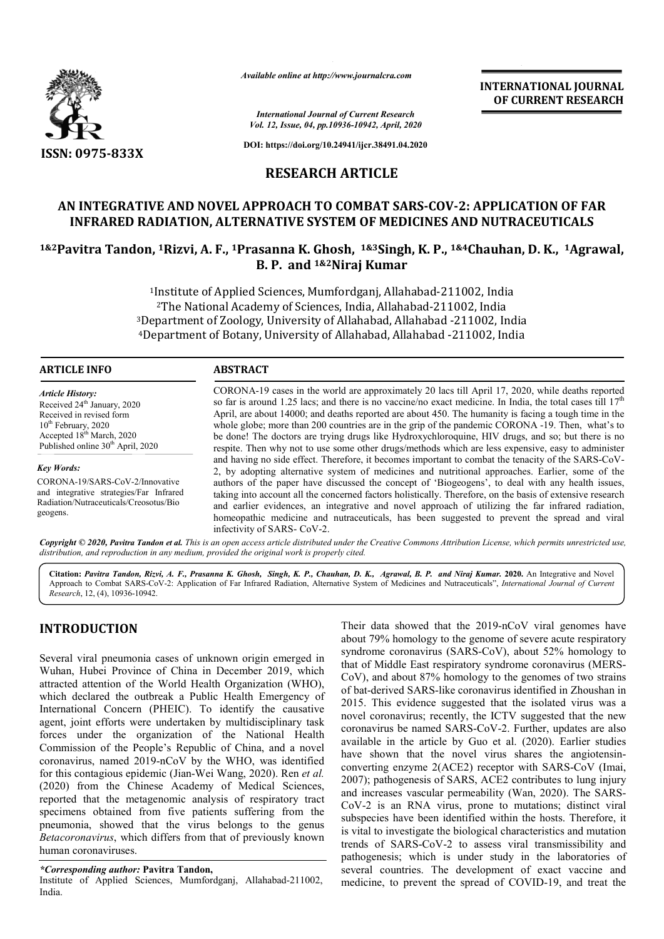

*Available online at http://www.journalcra.com*

*International Journal of Current Research Vol. 12, Issue, 04, pp.10936-10942, April, 2020*

**DOI: https://doi.org/10.24941/ijcr.38491.04.2020**

### **RESEARCH ARTICLE**

#### **AN INTEGRATIVE AND NOVEL APPROACH TO COMBAT SARS-COV-2: APPLICATION OF FAR INFRARED RADIATION, ALTERNATIVE SYSTEM OF MEDICINES AND NUTRACEUTICALS**

## **1&2Pavitra Tandon, 1Rizvi, A. F., 1Prasanna K. Ghosh, 1&3Singh, K. P., 1&4Chauhan, D. K., 1Agrawal, B. P. and 1&2Niraj Kumar**

1Institute of Applied Sciences, Mumfordganj, Allahabad-211002, India 2The National Academy of Sciences, India, Allahabad-211002, India 3Department of Zoology, University of Allahabad, Allahabad -211002, India 4Department of Botany, University of Allahabad, Allahabad -211002, India

#### **ARTICLE INFO ABSTRACT**

*Article History:* Received 24<sup>th</sup> January, 2020 Received in revised form 10<sup>th</sup> February, 2020 Accepted 18th March, 2020 Published online 30<sup>th</sup> April, 2020

*Key Words:* CORONA-19/SARS-CoV-2/Innovative and integrative strategies/Far Infrared Radiation/Nutraceuticals/Creosotus/Bio geogens.

CORONA-19 cases in the world are approximately 20 lacs till April 17, 2020, while deaths reported so far is around 1.25 lacs; and there is no vaccine/no exact medicine. In India, the total cases till  $17<sup>th</sup>$ April, are about 14000; and deaths reported are about 450. The humanity is facing a tough time in the whole globe; more than 200 countries are in the grip of the pandemic CORONA -19. Then, what's to be done! The doctors are trying drugs like Hydroxychloroquine, HIV drugs, and so; but there is no respite. Then why not to use some other drugs/methods which are less expensive, easy to administer and having no side effect. Therefore, it becomes important to combat the tenacity of the SARS-CoV-2, by adopting alternative system of medicines and nutritional approaches. Earlier, some of the authors of the paper have discussed the concept of 'Biogeogens', to deal with any health issues, taking into account all the concerned factors holistically. Therefore, on the basis of extensive research and earlier evidences, an integrative and novel approach of utilizing the far infrared radiation, homeopathic medicine and nutraceuticals, has been suggested to prevent the spread and viral infectivity of SARS- CoV-2.

Copyright © 2020, Pavitra Tandon et al. This is an open access article distributed under the Creative Commons Attribution License, which permits unrestricted use, *distribution, and reproduction in any medium, provided the original work is properly cited.*

**Citation:** *Pavitra Tandon, Rizvi, A. F., Prasanna K. Ghosh, Singh, K. P., Chauhan, D. K., Agrawal, B. P. and Niraj Kumar.* **2020.** An Integrative and Novel Approach to Combat SARS-CoV-2: Application of Far Infrared Radiation, Alternative System of Medicines and Nutraceuticals", *International Journal of Current Research*, 12, (4), 10936-10942.

### **INTRODUCTION**

Several viral pneumonia cases of unknown origin emerged in Wuhan, Hubei Province of China in December 2019, which attracted attention of the World Health Organization (WHO), which declared the outbreak a Public Health Emergency of International Concern (PHEIC). To identify the causative agent, joint efforts were undertaken by multidisciplinary task forces under the organization of the National Health Commission of the People's Republic of China, and a novel coronavirus, named 2019-nCoV by the WHO, was identified for this contagious epidemic (Jian-Wei Wang, 2020). Ren *et al.*  (2020) from the Chinese Academy of Medical Sciences, reported that the metagenomic analysis of respiratory tract specimens obtained from five patients suffering from the pneumonia, showed that the virus belongs to the genus *Betacoronavirus*, which differs from that of previously known human coronaviruses.

*\*Corresponding author:* **Pavitra Tandon,**

Institute of Applied Sciences, Mumfordganj, Allahabad-211002, India.

Their data showed that the 2019-nCoV viral genomes have about 79% homology to the genome of severe acute respiratory syndrome coronavirus (SARS-CoV), about 52% homology to that of Middle East respiratory syndrome coronavirus (MERS-CoV), and about 87% homology to the genomes of two strains of bat-derived SARS-like coronavirus identified in Zhoushan in 2015. This evidence suggested that the isolated virus was a novel coronavirus; recently, the ICTV suggested that the new coronavirus be named SARS-CoV-2. Further, updates are also available in the article by Guo et al. (2020). Earlier studies have shown that the novel virus shares the angiotensinconverting enzyme 2(ACE2) receptor with SARS-CoV (Imai, 2007); pathogenesis of SARS, ACE2 contributes to lung injury and increases vascular permeability (Wan, 2020). The SARS-CoV-2 is an RNA virus, prone to mutations; distinct viral subspecies have been identified within the hosts. Therefore, it is vital to investigate the biological characteristics and mutation trends of SARS-CoV-2 to assess viral transmissibility and pathogenesis; which is under study in the laboratories of several countries. The development of exact vaccine and medicine, to prevent the spread of COVID-19, and treat the

**INTERNATIONAL JOURNAL OF CURRENT RESEARCH**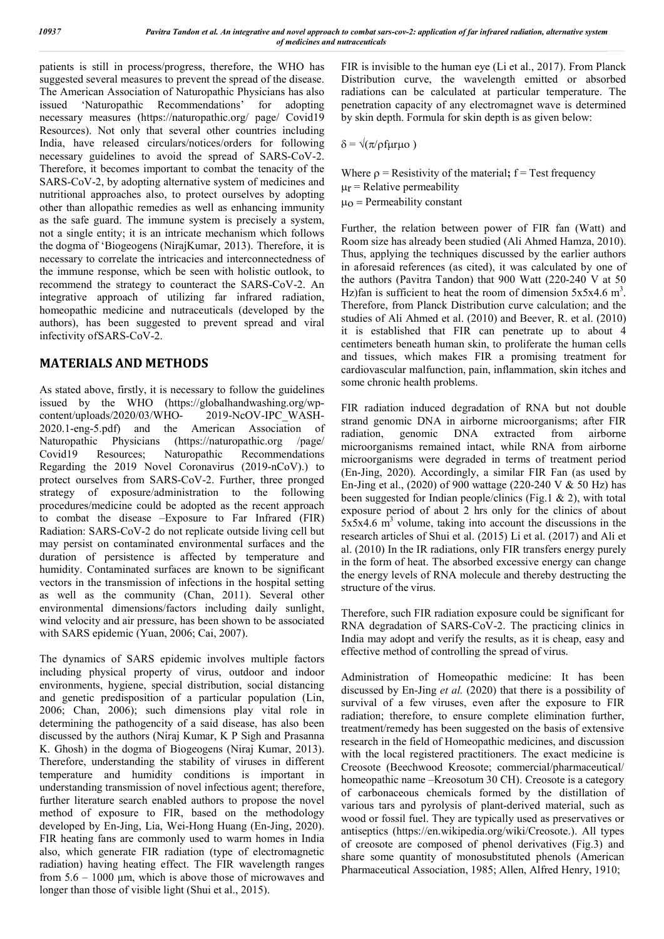patients is still in process/progress, therefore, the WHO has suggested several measures to prevent the spread of the disease. The American Association of Naturopathic Physicians has also issued 'Naturopathic Recommendations' for adopting necessary measures (https://naturopathic.org/ page/ Covid19 Resources). Not only that several other countries including India, have released circulars/notices/orders for following necessary guidelines to avoid the spread of SARS-CoV-2. Therefore, it becomes important to combat the tenacity of the SARS-CoV-2, by adopting alternative system of medicines and nutritional approaches also, to protect ourselves by adopting other than allopathic remedies as well as enhancing immunity as the safe guard. The immune system is precisely a system, not a single entity; it is an intricate mechanism which follows the dogma of 'Biogeogens (NirajKumar, 2013). Therefore, it is necessary to correlate the intricacies and interconnectedness of the immune response, which be seen with holistic outlook, to recommend the strategy to counteract the SARS-CoV-2. An integrative approach of utilizing far infrared radiation, homeopathic medicine and nutraceuticals (developed by the authors), has been suggested to prevent spread and viral infectivity ofSARS-CoV-2.

# **MATERIALS AND METHODS**

As stated above, firstly, it is necessary to follow the guidelines issued by the WHO (https://globalhandwashing.org/wpcontent/uploads/2020/03/WHO- 2019-NcOV-IPC\_WASH-2020.1-eng-5.pdf) and the American Association of Naturopathic Physicians (https://naturopathic.org /page/ Covid19 Resources; Naturopathic Recommendations Regarding the 2019 Novel Coronavirus (2019-nCoV).) to protect ourselves from SARS-CoV-2. Further, three pronged strategy of exposure/administration to the following procedures/medicine could be adopted as the recent approach to combat the disease –Exposure to Far Infrared (FIR) Radiation: SARS-CoV-2 do not replicate outside living cell but may persist on contaminated environmental surfaces and the duration of persistence is affected by temperature and humidity. Contaminated surfaces are known to be significant vectors in the transmission of infections in the hospital setting as well as the community (Chan, 2011). Several other environmental dimensions/factors including daily sunlight, wind velocity and air pressure, has been shown to be associated with SARS epidemic (Yuan, 2006; Cai, 2007).

The dynamics of SARS epidemic involves multiple factors including physical property of virus, outdoor and indoor environments, hygiene, special distribution, social distancing and genetic predisposition of a particular population (Lin, 2006; Chan, 2006); such dimensions play vital role in determining the pathogencity of a said disease, has also been discussed by the authors (Niraj Kumar, K P Sigh and Prasanna K. Ghosh) in the dogma of Biogeogens (Niraj Kumar, 2013). Therefore, understanding the stability of viruses in different temperature and humidity conditions is important in understanding transmission of novel infectious agent; therefore, further literature search enabled authors to propose the novel method of exposure to FIR, based on the methodology developed by En-Jing, Lia, Wei-Hong Huang (En-Jing, 2020). FIR heating fans are commonly used to warm homes in India also, which generate FIR radiation (type of electromagnetic radiation) having heating effect. The FIR wavelength ranges from 5.6 – 1000 μm, which is above those of microwaves and longer than those of visible light (Shui et al., 2015).

FIR is invisible to the human eye (Li et al., 2017). From Planck Distribution curve, the wavelength emitted or absorbed radiations can be calculated at particular temperature. The penetration capacity of any electromagnet wave is determined by skin depth. Formula for skin depth is as given below:

 $\delta = \sqrt{\pi/\rho}$ furuo)

Where  $\rho$  = Resistivity of the material;  $f = Test$  frequency  $\mu_r$  = Relative permeability  $\mu$ <sup>o</sup> = Permeability constant

Further, the relation between power of FIR fan (Watt) and Room size has already been studied (Ali Ahmed Hamza, 2010). Thus, applying the techniques discussed by the earlier authors in aforesaid references (as cited), it was calculated by one of the authors (Pavitra Tandon) that 900 Watt (220-240 V at 50 Hz)fan is sufficient to heat the room of dimension  $5x5x4.6$  m<sup>3</sup>. Therefore, from Planck Distribution curve calculation; and the studies of Ali Ahmed et al. (2010) and Beever, R. et al. (2010) it is established that FIR can penetrate up to about 4 centimeters beneath human skin, to proliferate the human cells and tissues, which makes FIR a promising treatment for cardiovascular malfunction, pain, inflammation, skin itches and some chronic health problems.

FIR radiation induced degradation of RNA but not double strand genomic DNA in airborne microorganisms; after FIR radiation, genomic DNA extracted from airborne microorganisms remained intact, while RNA from airborne microorganisms were degraded in terms of treatment period (En-Jing, 2020). Accordingly, a similar FIR Fan (as used by En-Jing et al., (2020) of 900 wattage (220-240 V & 50 Hz) has been suggested for Indian people/clinics (Fig.1 & 2), with total exposure period of about 2 hrs only for the clinics of about  $5x5x4.6$  m<sup>3</sup> volume, taking into account the discussions in the research articles of Shui et al. (2015) Li et al. (2017) and Ali et al. (2010) In the IR radiations, only FIR transfers energy purely in the form of heat. The absorbed excessive energy can change the energy levels of RNA molecule and thereby destructing the structure of the virus.

Therefore, such FIR radiation exposure could be significant for RNA degradation of SARS-CoV-2. The practicing clinics in India may adopt and verify the results, as it is cheap, easy and effective method of controlling the spread of virus.

Administration of Homeopathic medicine: It has been discussed by En-Jing *et al.* (2020) that there is a possibility of survival of a few viruses, even after the exposure to FIR radiation; therefore, to ensure complete elimination further, treatment/remedy has been suggested on the basis of extensive research in the field of Homeopathic medicines, and discussion with the local registered practitioners. The exact medicine is Creosote (Beechwood Kreosote; commercial/pharmaceutical/ homeopathic name –Kreosotum 30 CH). Creosote is a category of carbonaceous chemicals formed by the distillation of various tars and pyrolysis of plant-derived material, such as wood or fossil fuel. They are typically used as preservatives or antiseptics (https://en.wikipedia.org/wiki/Creosote.). All types of creosote are composed of phenol derivatives (Fig.3) and share some quantity of monosubstituted phenols (American Pharmaceutical Association, 1985; Allen, Alfred Henry, 1910;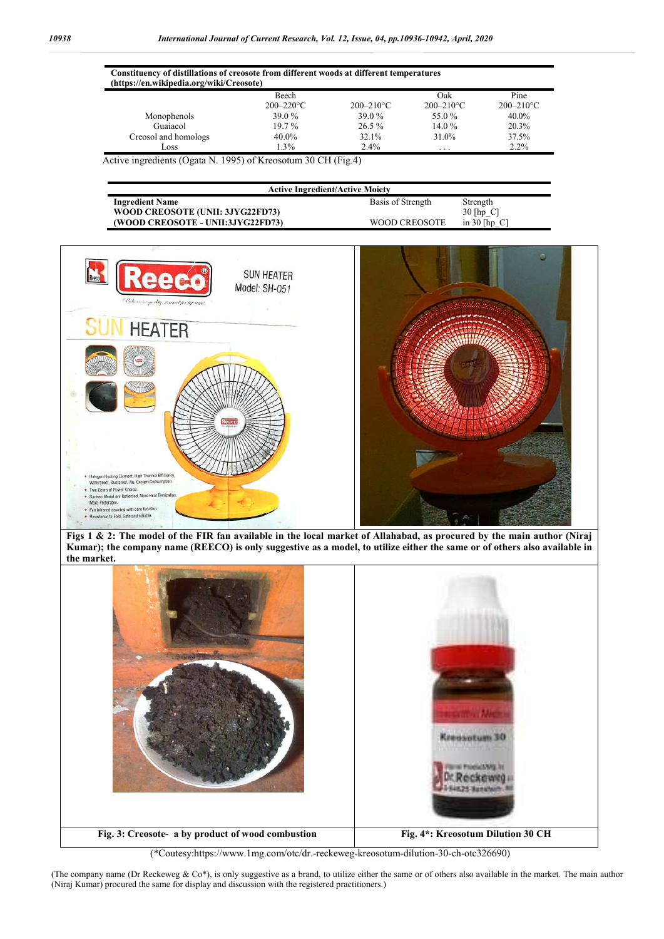| Constituency of distillations of creosote from different woods at different temperatures<br>(https://en.wikipedia.org/wiki/Creosote) |                                |                |                       |                        |
|--------------------------------------------------------------------------------------------------------------------------------------|--------------------------------|----------------|-----------------------|------------------------|
|                                                                                                                                      | <b>Beech</b><br>$200 - 220$ °C | $200 - 210$ °C | Oak<br>$200 - 210$ °C | Pine<br>$200 - 210$ °C |
| Monophenols                                                                                                                          | 39.0 %                         | 39.0 %         | 55.0 %                | $40.0\%$               |
| Guaiacol                                                                                                                             | $19.7\%$                       | $26.5\%$       | 14.0%                 | 20.3%                  |
| Creosol and homologs                                                                                                                 | 40.0%                          | 32.1%          | 31.0%                 | 37.5%                  |
| Loss                                                                                                                                 | $1.3\%$                        | $2.4\%$        | .                     | $2.2\%$                |

Active ingredients (Ogata N. 1995) of Kreosotum 30 CH (Fig.4)

| <b>Active Ingredient/Active Moiety</b> |                   |                |  |  |  |  |
|----------------------------------------|-------------------|----------------|--|--|--|--|
| <b>Ingredient Name</b>                 | Basis of Strength | Strength       |  |  |  |  |
| WOOD CREOSOTE (UNII: 3JYG22FD73)       |                   | $30$ [hp C]    |  |  |  |  |
| (WOOD CREOSOTE - UNII:3JYG22FD73)      | WOOD CREOSOTE     | in $30$ [hp C] |  |  |  |  |



**Figs 1 & 2: The model of the FIR fan available in the local market of Allahabad, as procured by the main author (Niraj Kumar); the company name (REECO) is only suggestive as a model, to utilize either the same or of others also available in the market.**



(\*Coutesy:https://www.1mg.com/otc/dr.-reckeweg-kreosotum-dilution-30-ch-otc326690)

(The company name (Dr Reckeweg & Co\*), is only suggestive as a brand, to utilize either the same or of others also available in the market. The main author (Niraj Kumar) procured the same for display and discussion with the registered practitioners.)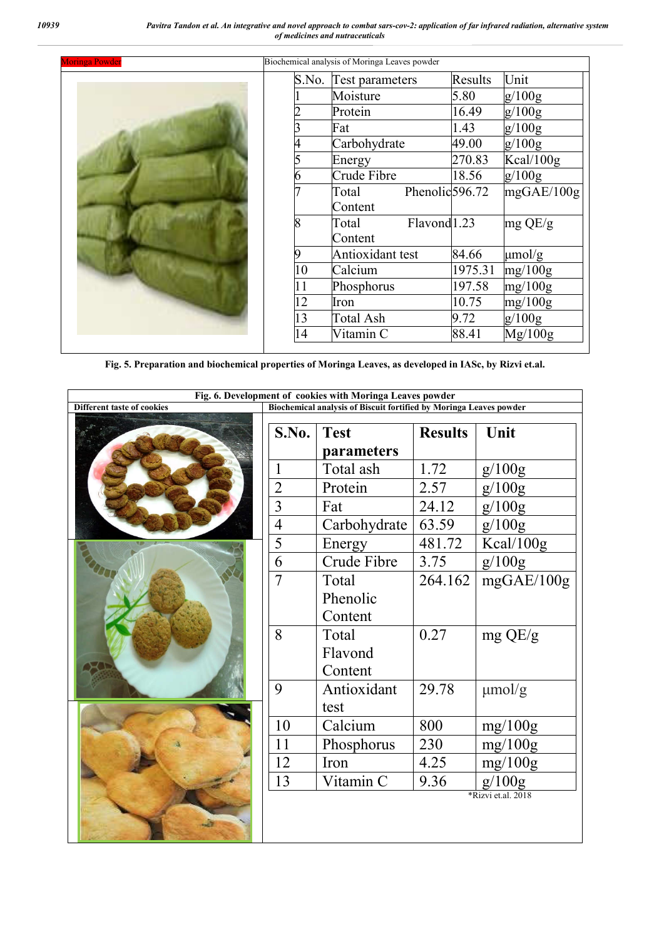*10939 Pavitra Tandon et al. An integrative and novel approach to combat sars-cov-2: application of far infrared radiation, alternative system of medicines and nutraceuticals*

| Biochemical analysis of Moringa Leaves powder<br><b>Moringa Powder</b> |       |                                     |         |             |
|------------------------------------------------------------------------|-------|-------------------------------------|---------|-------------|
|                                                                        | S.No. | Test parameters                     | Results | Unit        |
|                                                                        |       | Moisture                            | 5.80    | g/100g      |
|                                                                        |       | Protein                             | 16.49   | g/100g      |
|                                                                        |       | Fat                                 | 1.43    | g/100g      |
|                                                                        | 4     | Carbohydrate                        | 49.00   | g/100g      |
|                                                                        |       | Energy                              | 270.83  | Kcal/100g   |
|                                                                        |       | Crude Fibre                         | 18.56   | g/100g      |
|                                                                        |       | Phenolic <sub>596.72</sub><br>Total |         | mgGAE/100g  |
|                                                                        |       | Content                             |         |             |
|                                                                        | 8     | Flavond <sup>1.23</sup><br>Total    |         | $mg$ QE/g   |
|                                                                        |       | Content                             |         |             |
|                                                                        | 9     | Antioxidant test                    | 84.66   | $\mu$ mol/g |
|                                                                        | 10    | Calcium                             | 1975.31 | mg/100g     |
|                                                                        | 11    | Phosphorus                          | 197.58  | mg/100g     |
|                                                                        | 12    | Iron                                | 10.75   | mg/100g     |
|                                                                        | 13    | Total Ash                           | 9.72    | g/100g      |
|                                                                        | 14    | Vitamin C                           | 88.41   | Mg/100g     |
|                                                                        |       |                                     |         |             |

**Fig. 5. Preparation and biochemical properties of Moringa Leaves, as developed in IASc, by Rizvi et.al.**

| Fig. 6. Development of cookies with Moringa Leaves powder |                                                                    |                        |                |             |
|-----------------------------------------------------------|--------------------------------------------------------------------|------------------------|----------------|-------------|
| <b>Different taste of cookies</b>                         | Biochemical analysis of Biscuit fortified by Moringa Leaves powder |                        |                |             |
|                                                           | S.No.                                                              | <b>Test</b>            | <b>Results</b> | Unit        |
|                                                           |                                                                    | parameters             |                |             |
|                                                           | 1                                                                  | Total ash              | 1.72           | g/100g      |
|                                                           | $\overline{2}$                                                     | Protein                | 2.57           | g/100g      |
|                                                           | $\overline{3}$                                                     | Fat                    | 24.12          | g/100g      |
|                                                           | $\overline{4}$                                                     | Carbohydrate           | 63.59          | g/100g      |
|                                                           | 5                                                                  | Energy                 | 481.72         | Kcal/100g   |
|                                                           | 6                                                                  | Crude Fibre            | 3.75           | g/100g      |
|                                                           | $\overline{7}$                                                     | Total                  | 264.162        | mgGAE/100g  |
|                                                           |                                                                    | Phenolic               |                |             |
|                                                           |                                                                    | Content                |                |             |
|                                                           | 8                                                                  | Total                  | 0.27           | $mg$ QE/g   |
|                                                           |                                                                    | Flavond                |                |             |
|                                                           |                                                                    | Content                |                |             |
|                                                           | 9                                                                  | Antioxidant            | 29.78          | $\mu$ mol/g |
|                                                           |                                                                    | test                   |                |             |
|                                                           | 10                                                                 | Calcium                | 800            | mg/100g     |
|                                                           | 11                                                                 | Phosphorus             | 230            | mg/100g     |
|                                                           | 12                                                                 | Iron                   | 4.25           | mg/100g     |
|                                                           | 13                                                                 | Vitamin $\overline{C}$ | 9.36           | g/100g      |
|                                                           |                                                                    | *Rizvi et.al. 2018     |                |             |
|                                                           |                                                                    |                        |                |             |
|                                                           |                                                                    |                        |                |             |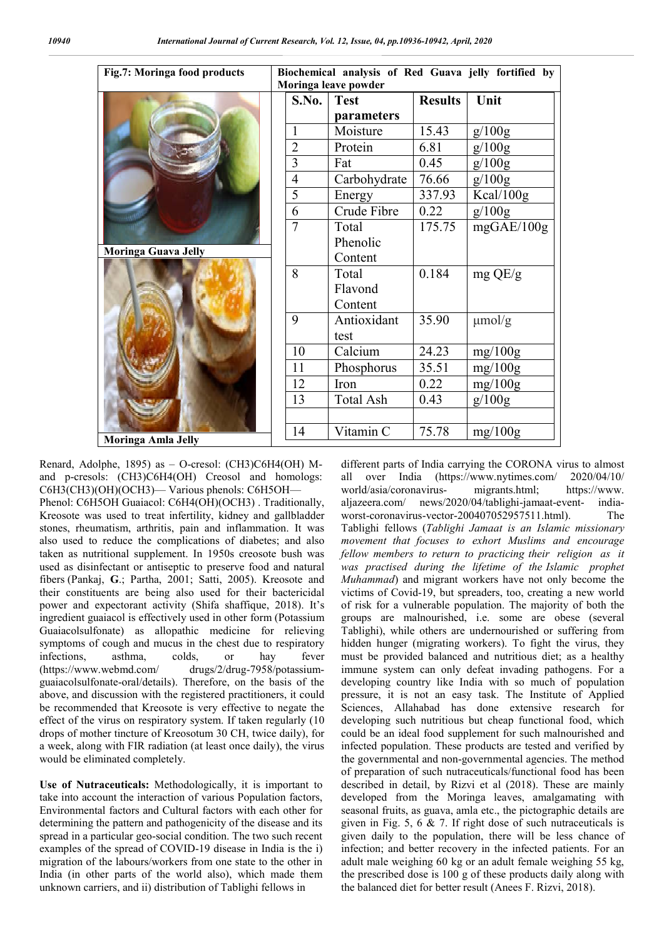| Fig.7: Moringa food products | Biochemical analysis of Red Guava jelly fortified by<br>Moringa leave powder |                  |                |             |
|------------------------------|------------------------------------------------------------------------------|------------------|----------------|-------------|
|                              | S.No.                                                                        | <b>Test</b>      | <b>Results</b> | Unit        |
|                              |                                                                              | parameters       |                |             |
|                              | 1                                                                            | Moisture         | 15.43          | g/100g      |
|                              | $\overline{2}$                                                               | Protein          | 6.81           | g/100g      |
|                              | 3                                                                            | Fat              | 0.45           | g/100g      |
|                              | $\overline{4}$                                                               | Carbohydrate     | 76.66          | g/100g      |
|                              | 5                                                                            | Energy           | 337.93         | Kcal/100g   |
|                              | 6                                                                            | Crude Fibre      | 0.22           | g/100g      |
|                              | $\overline{7}$                                                               | Total            | 175.75         | mgGAE/100g  |
| <b>Moringa Guava Jelly</b>   |                                                                              | Phenolic         |                |             |
|                              |                                                                              | Content          |                |             |
|                              | 8                                                                            | Total            | 0.184          | $mg$ QE/g   |
|                              |                                                                              | Flavond          |                |             |
|                              |                                                                              | Content          |                |             |
|                              | 9                                                                            | Antioxidant      | 35.90          | $\mu$ mol/g |
|                              |                                                                              | test             |                |             |
|                              | 10                                                                           | Calcium          | 24.23          | mg/100g     |
|                              | 11                                                                           | Phosphorus       | 35.51          | mg/100g     |
|                              | 12                                                                           | Iron             | 0.22           | mg/100g     |
|                              | 13                                                                           | <b>Total Ash</b> | 0.43           | g/100g      |
|                              |                                                                              |                  |                |             |
| Moringa Amla Jelly           | 14                                                                           | Vitamin C        | 75.78          | mg/100g     |

**Moringa Amla Jelly**

Renard, Adolphe, 1895) as – O-cresol: (CH3)C6H4(OH) Mand p-cresols: (CH3)C6H4(OH) Creosol and homologs: C6H3(CH3)(OH)(OCH3)— Various phenols: C6H5OH—

Phenol: C6H5OH Guaiacol: C6H4(OH)(OCH3) . Traditionally, Kreosote was used to treat infertility, kidney and gallbladder stones, rheumatism, arthritis, pain and inflammation. It was also used to reduce the complications of diabetes; and also taken as nutritional supplement. In 1950s creosote bush was used as disinfectant or antiseptic to preserve food and natural fibers (Pankaj, **G**.; Partha, 2001; Satti, 2005). Kreosote and their constituents are being also used for their bactericidal power and expectorant activity (Shifa shaffique, 2018). It's ingredient guaiacol is effectively used in other form (Potassium Guaiacolsulfonate) as allopathic medicine for relieving symptoms of cough and mucus in the chest due to respiratory infections, asthma, colds, or hay fever (https://www.webmd.com/ drugs/2/drug-7958/potassiumguaiacolsulfonate-oral/details). Therefore, on the basis of the above, and discussion with the registered practitioners, it could be recommended that Kreosote is very effective to negate the effect of the virus on respiratory system. If taken regularly (10 drops of mother tincture of Kreosotum 30 CH, twice daily), for a week, along with FIR radiation (at least once daily), the virus would be eliminated completely.

**Use of Nutraceuticals:** Methodologically, it is important to take into account the interaction of various Population factors, Environmental factors and Cultural factors with each other for determining the pattern and pathogenicity of the disease and its spread in a particular geo-social condition. The two such recent examples of the spread of COVID-19 disease in India is the i) migration of the labours/workers from one state to the other in India (in other parts of the world also), which made them unknown carriers, and ii) distribution of Tablighi fellows in

different parts of India carrying the CORONA virus to almost all over India (https://www.nytimes.com/ 2020/04/10/ world/asia/coronavirus- migrants.html; https://www. aljazeera.com/ news/2020/04/tablighi-jamaat-event- indiaworst-coronavirus-vector-200407052957511.html). The Tablighi fellows (*Tablighi Jamaat is an Islamic missionary movement that focuses to exhort Muslims and encourage fellow members to return to practicing their religion as it was practised during the lifetime of the Islamic prophet Muhammad*) and migrant workers have not only become the victims of Covid-19, but spreaders, too, creating a new world of risk for a vulnerable population. The majority of both the groups are malnourished, i.e. some are obese (several Tablighi), while others are undernourished or suffering from hidden hunger (migrating workers). To fight the virus, they must be provided balanced and nutritious diet; as a healthy immune system can only defeat invading pathogens. For a developing country like India with so much of population pressure, it is not an easy task. The Institute of Applied Sciences, Allahabad has done extensive research for developing such nutritious but cheap functional food, which could be an ideal food supplement for such malnourished and infected population. These products are tested and verified by the governmental and non-governmental agencies. The method of preparation of such nutraceuticals/functional food has been described in detail, by Rizvi et al (2018). These are mainly developed from the Moringa leaves, amalgamating with seasonal fruits, as guava, amla etc., the pictographic details are given in Fig. 5, 6 & 7. If right dose of such nutraceuticals is given daily to the population, there will be less chance of infection; and better recovery in the infected patients. For an adult male weighing 60 kg or an adult female weighing 55 kg, the prescribed dose is 100 g of these products daily along with the balanced diet for better result (Anees F. Rizvi, 2018).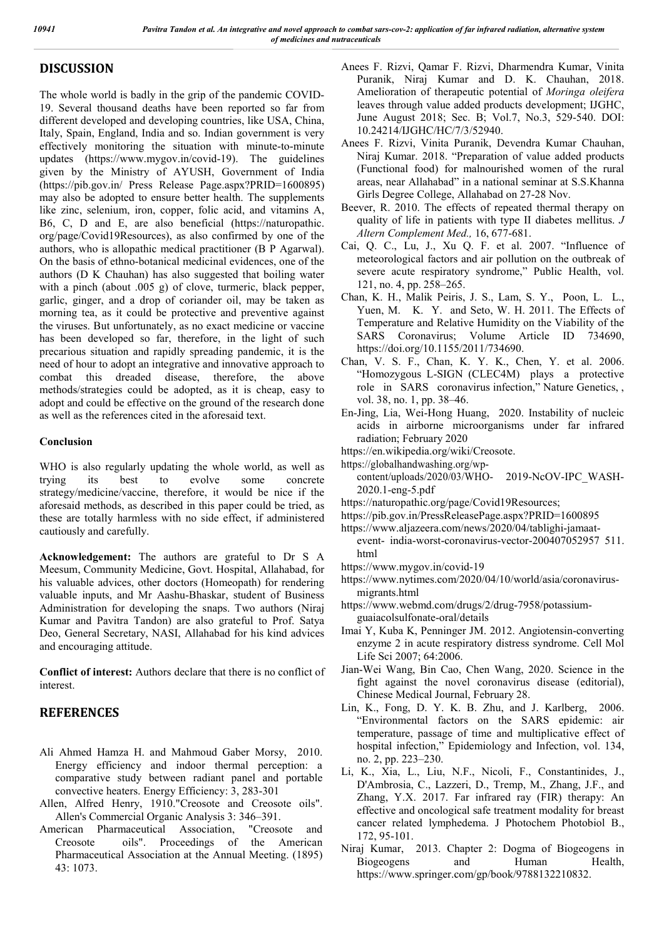# **DISCUSSION**

The whole world is badly in the grip of the pandemic COVID-19. Several thousand deaths have been reported so far from different developed and developing countries, like USA, China, Italy, Spain, England, India and so. Indian government is very effectively monitoring the situation with minute-to-minute updates (https://www.mygov.in/covid-19). The guidelines given by the Ministry of AYUSH, Government of India (https://pib.gov.in/ Press Release Page.aspx?PRID=1600895) may also be adopted to ensure better health. The supplements like zinc, selenium, iron, copper, folic acid, and vitamins A, B6, C, D and E, are also beneficial (https://naturopathic. org/page/Covid19Resources), as also confirmed by one of the authors, who is allopathic medical practitioner (B P Agarwal). On the basis of ethno-botanical medicinal evidences, one of the authors (D K Chauhan) has also suggested that boiling water with a pinch (about .005 g) of clove, turmeric, black pepper, garlic, ginger, and a drop of coriander oil, may be taken as morning tea, as it could be protective and preventive against the viruses. But unfortunately, as no exact medicine or vaccine has been developed so far, therefore, in the light of such precarious situation and rapidly spreading pandemic, it is the need of hour to adopt an integrative and innovative approach to combat this dreaded disease, therefore, the above methods/strategies could be adopted, as it is cheap, easy to adopt and could be effective on the ground of the research done as well as the references cited in the aforesaid text.

#### **Conclusion**

WHO is also regularly updating the whole world, as well as trying its best to evolve some concrete strategy/medicine/vaccine, therefore, it would be nice if the aforesaid methods, as described in this paper could be tried, as these are totally harmless with no side effect, if administered cautiously and carefully.

**Acknowledgement:** The authors are grateful to Dr S A Meesum, Community Medicine, Govt. Hospital, Allahabad, for his valuable advices, other doctors (Homeopath) for rendering valuable inputs, and Mr Aashu-Bhaskar, student of Business Administration for developing the snaps. Two authors (Niraj Kumar and Pavitra Tandon) are also grateful to Prof. Satya Deo, General Secretary, NASI, Allahabad for his kind advices and encouraging attitude.

**Conflict of interest:** Authors declare that there is no conflict of interest.

# **REFERENCES**

- Ali Ahmed Hamza H. and Mahmoud Gaber Morsy, 2010. Energy efficiency and indoor thermal perception: a comparative study between radiant panel and portable convective heaters. Energy Efficiency: 3, 283-301
- Allen, Alfred Henry, 1910."Creosote and Creosote oils". Allen's Commercial Organic Analysis 3: 346–391.
- American Pharmaceutical Association, "Creosote and Creosote oils". Proceedings of the American Pharmaceutical Association at the Annual Meeting. (1895) 43: 1073.
- Anees F. Rizvi, Qamar F. Rizvi, Dharmendra Kumar, Vinita Puranik, Niraj Kumar and D. K. Chauhan, 2018. Amelioration of therapeutic potential of *Moringa oleifera*  leaves through value added products development; IJGHC, June August 2018; Sec. B; Vol.7, No.3, 529-540. DOI: 10.24214/IJGHC/HC/7/3/52940.
- Anees F. Rizvi, Vinita Puranik, Devendra Kumar Chauhan, Niraj Kumar. 2018. "Preparation of value added products (Functional food) for malnourished women of the rural areas, near Allahabad" in a national seminar at S.S.Khanna Girls Degree College, Allahabad on 27-28 Nov.
- Beever, R. 2010. The effects of repeated thermal therapy on quality of life in patients with type II diabetes mellitus. *J Altern Complement Med.,* 16, 677-681.
- Cai, Q. C., Lu, J., Xu Q. F. et al. 2007. "Influence of meteorological factors and air pollution on the outbreak of severe acute respiratory syndrome," Public Health, vol. 121, no. 4, pp. 258–265.
- Chan, K. H., Malik Peiris, J. S., Lam, S. Y., Poon, L. L., Yuen, M. K. Y. and Seto, W. H. 2011. The Effects of Temperature and Relative Humidity on the Viability of the SARS Coronavirus; Volume Article ID 734690, https://doi.org/10.1155/2011/734690.
- Chan, V. S. F., Chan, K. Y. K., Chen, Y. et al. 2006. "Homozygous L-SIGN (CLEC4M) plays a protective role in SARS coronavirus infection," Nature Genetics, , vol. 38, no. 1, pp. 38–46.
- En-Jing, Lia, Wei-Hong Huang, 2020. Instability of nucleic acids in airborne microorganisms under far infrared radiation; February 2020
- https://en.wikipedia.org/wiki/Creosote.
- https://globalhandwashing.org/wp-
- content/uploads/2020/03/WHO- 2019-NcOV-IPC\_WASH-2020.1-eng-5.pdf
- https://naturopathic.org/page/Covid19Resources;
- https://pib.gov.in/PressReleasePage.aspx?PRID=1600895
- https://www.aljazeera.com/news/2020/04/tablighi-jamaat-
- event- india-worst-coronavirus-vector-200407052957 511. html
- https://www.mygov.in/covid-19
- https://www.nytimes.com/2020/04/10/world/asia/coronavirusmigrants.html
- https://www.webmd.com/drugs/2/drug-7958/potassiumguaiacolsulfonate-oral/details
- Imai Y, Kuba K, Penninger JM. 2012. Angiotensin-converting enzyme 2 in acute respiratory distress syndrome. Cell Mol Life Sci 2007; 64:2006.
- Jian-Wei Wang, Bin Cao, Chen Wang, 2020. Science in the fight against the novel coronavirus disease (editorial), Chinese Medical Journal, February 28.
- Lin, K., Fong, D. Y. K. B. Zhu, and J. Karlberg, 2006. "Environmental factors on the SARS epidemic: air temperature, passage of time and multiplicative effect of hospital infection," Epidemiology and Infection, vol. 134, no. 2, pp. 223–230.
- Li, K., Xia, L., Liu, N.F., Nicoli, F., Constantinides, J., D'Ambrosia, C., Lazzeri, D., Tremp, M., Zhang, J.F., and Zhang, Y.X. 2017. Far infrared ray (FIR) therapy: An effective and oncological safe treatment modality for breast cancer related lymphedema. J Photochem Photobiol B., 172, 95-101.
- Niraj Kumar, 2013. Chapter 2: Dogma of Biogeogens in Biogeogens and Human Health, https://www.springer.com/gp/book/9788132210832.